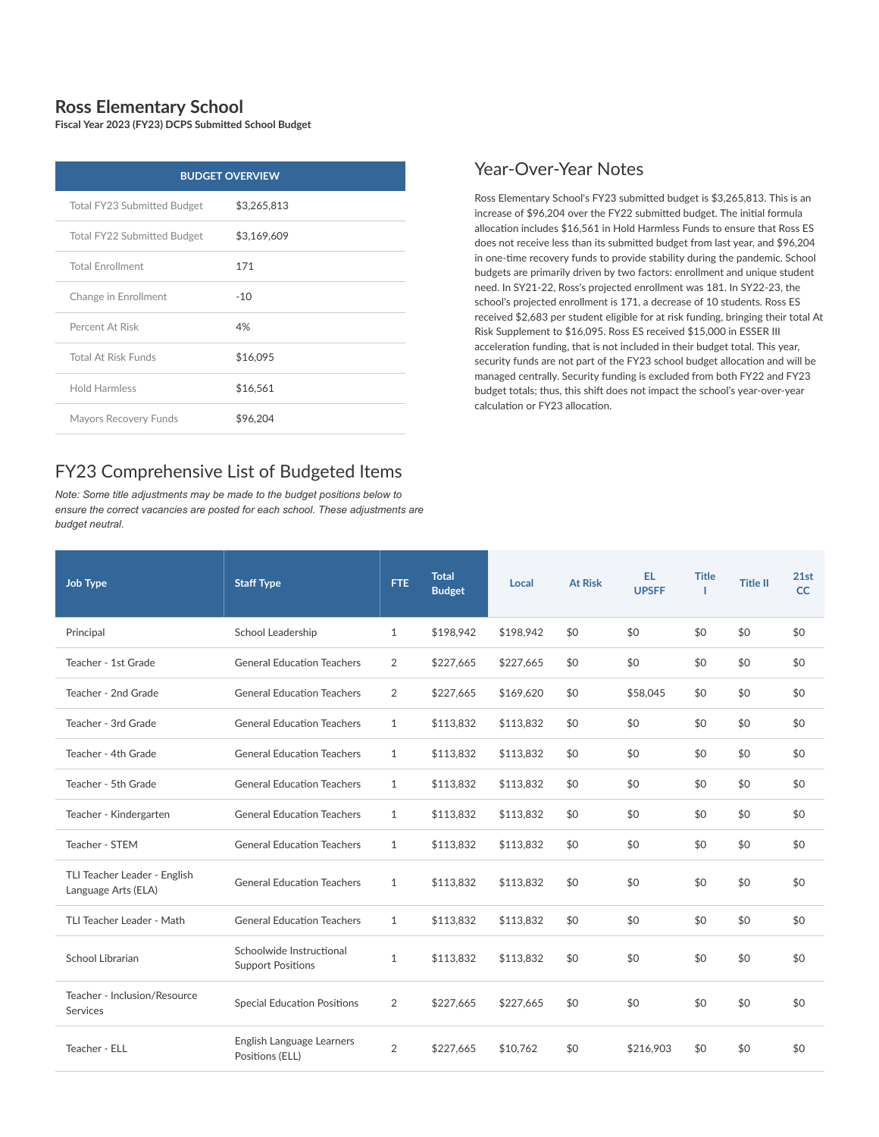## **Ross Elementary School**

**Fiscal Year 2023 (FY23) DCPS Submitted School Budget**

| <b>BUDGET OVERVIEW</b>      |             |  |  |  |  |
|-----------------------------|-------------|--|--|--|--|
| Total FY23 Submitted Budget | \$3,265,813 |  |  |  |  |
| Total FY22 Submitted Budget | \$3,169,609 |  |  |  |  |
| <b>Total Enrollment</b>     | 171         |  |  |  |  |
| Change in Enrollment        | $-10$       |  |  |  |  |
| Percent At Risk             | 4%          |  |  |  |  |
| <b>Total At Risk Funds</b>  | \$16,095    |  |  |  |  |
| <b>Hold Harmless</b>        | \$16,561    |  |  |  |  |
| Mayors Recovery Funds       | \$96,204    |  |  |  |  |

## FY23 Comprehensive List of Budgeted Items

*Note: Some title adjustments may be made to the budget positions below to ensure the correct vacancies are posted for each school. These adjustments are budget neutral.*

## Year-Over-Year Notes

Ross Elementary School's FY23 submitted budget is \$3,265,813. This is an increase of \$96,204 over the FY22 submitted budget. The initial formula allocation includes \$16,561 in Hold Harmless Funds to ensure that Ross ES does not receive less than its submitted budget from last year, and \$96,204 in one-time recovery funds to provide stability during the pandemic. School budgets are primarily driven by two factors: enrollment and unique student need. In SY21-22, Ross's projected enrollment was 181. In SY22-23, the school's projected enrollment is 171, a decrease of 10 students. Ross ES received \$2,683 per student eligible for at risk funding, bringing their total At Risk Supplement to \$16,095. Ross ES received \$15,000 in ESSER III acceleration funding, that is not included in their budget total. This year, security funds are not part of the FY23 school budget allocation and will be managed centrally. Security funding is excluded from both FY22 and FY23 budget totals; thus, this shift does not impact the school's year-over-year calculation or FY23 allocation.

| Job Type                                            | <b>Staff Type</b>                                    | <b>FTE</b>   | <b>Total</b><br><b>Budget</b> | Local     | <b>At Risk</b> | EL.<br><b>UPSFF</b> | <b>Title</b> | <b>Title II</b> | 21st<br>CC |
|-----------------------------------------------------|------------------------------------------------------|--------------|-------------------------------|-----------|----------------|---------------------|--------------|-----------------|------------|
| Principal                                           | School Leadership                                    | $\mathbf{1}$ | \$198,942                     | \$198,942 | \$0            | \$0                 | \$0          | \$0             | \$0        |
| Teacher - 1st Grade                                 | <b>General Education Teachers</b>                    | 2            | \$227,665                     | \$227,665 | \$0            | \$0                 | \$0          | \$0             | \$0        |
| Teacher - 2nd Grade                                 | <b>General Education Teachers</b>                    | 2            | \$227,665                     | \$169,620 | \$0            | \$58,045            | \$0          | \$0             | \$0        |
| Teacher - 3rd Grade                                 | <b>General Education Teachers</b>                    | $\mathbf{1}$ | \$113,832                     | \$113,832 | \$0            | \$0                 | \$0          | \$0             | \$0        |
| Teacher - 4th Grade                                 | <b>General Education Teachers</b>                    | $\mathbf{1}$ | \$113,832                     | \$113,832 | \$0            | \$0                 | \$0          | \$0             | \$0        |
| Teacher - 5th Grade                                 | <b>General Education Teachers</b>                    | $\mathbf{1}$ | \$113,832                     | \$113,832 | \$0            | \$0                 | \$0          | \$0             | \$0        |
| Teacher - Kindergarten                              | <b>General Education Teachers</b>                    | $\mathbf{1}$ | \$113,832                     | \$113,832 | \$0            | \$0                 | \$0          | \$0             | \$0        |
| Teacher - STEM                                      | <b>General Education Teachers</b>                    | $\mathbf{1}$ | \$113,832                     | \$113,832 | \$0            | \$0                 | \$0          | \$0             | \$0        |
| TLI Teacher Leader - English<br>Language Arts (ELA) | <b>General Education Teachers</b>                    | $\mathbf{1}$ | \$113,832                     | \$113.832 | \$0            | \$0                 | \$0          | \$0             | \$0        |
| TLI Teacher Leader - Math                           | <b>General Education Teachers</b>                    | $\mathbf{1}$ | \$113,832                     | \$113,832 | \$0            | \$0                 | \$0          | \$0             | \$0        |
| School Librarian                                    | Schoolwide Instructional<br><b>Support Positions</b> | $\mathbf{1}$ | \$113,832                     | \$113,832 | \$0            | \$0                 | \$0          | \$0             | \$0        |
| Teacher - Inclusion/Resource<br><b>Services</b>     | <b>Special Education Positions</b>                   | 2            | \$227,665                     | \$227,665 | \$0            | \$0                 | \$0          | \$0             | \$0        |
| Teacher - ELL                                       | English Language Learners<br>Positions (ELL)         | 2            | \$227,665                     | \$10,762  | \$0            | \$216,903           | \$0          | \$0             | \$0        |